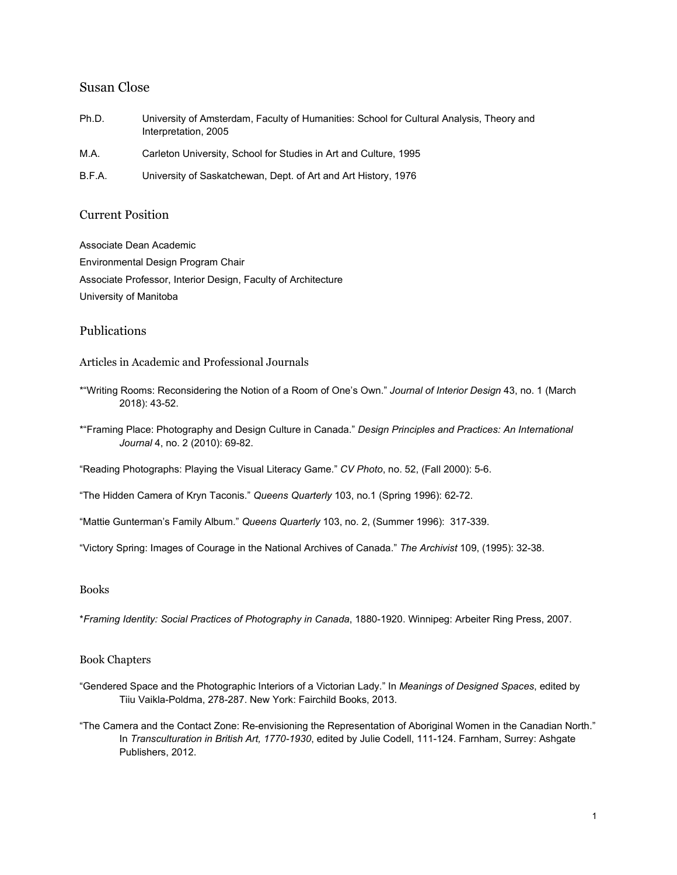### Susan Close

- Ph.D. University of Amsterdam, Faculty of Humanities: School for Cultural Analysis, Theory and Interpretation, 2005
- M.A. Carleton University, School for Studies in Art and Culture, 1995
- B.F.A. University of Saskatchewan, Dept. of Art and Art History, 1976

#### Current Position

Associate Dean Academic Environmental Design Program Chair Associate Professor, Interior Design, Faculty of Architecture University of Manitoba

#### Publications

Articles in Academic and Professional Journals

- \*"Writing Rooms: Reconsidering the Notion of a Room of One's Own." *Journal of Interior Design* 43, no. 1 (March 2018): 43-52.
- \*"Framing Place: Photography and Design Culture in Canada." *Design Principles and Practices: An International Journal* 4, no. 2 (2010): 69-82.

"Reading Photographs: Playing the Visual Literacy Game." *CV Photo*, no. 52, (Fall 2000): 5-6.

"The Hidden Camera of Kryn Taconis." *Queens Quarterly* 103, no.1 (Spring 1996): 62-72.

"Mattie Gunterman's Family Album." *Queens Quarterly* 103, no. 2, (Summer 1996): 317-339.

"Victory Spring: Images of Courage in the National Archives of Canada." *The Archivist* 109, (1995): 32-38.

#### Books

\**Framing Identity: Social Practices of Photography in Canada*, 1880-1920. Winnipeg: Arbeiter Ring Press, 2007.

#### Book Chapters

- "Gendered Space and the Photographic Interiors of a Victorian Lady." In *Meanings of Designed Spaces*, edited by Tiiu Vaikla-Poldma, 278-287. New York: Fairchild Books, 2013.
- "The Camera and the Contact Zone: Re-envisioning the Representation of Aboriginal Women in the Canadian North." In *Transculturation in British Art, 1770-1930*, edited by Julie Codell, 111-124. Farnham, Surrey: Ashgate Publishers, 2012.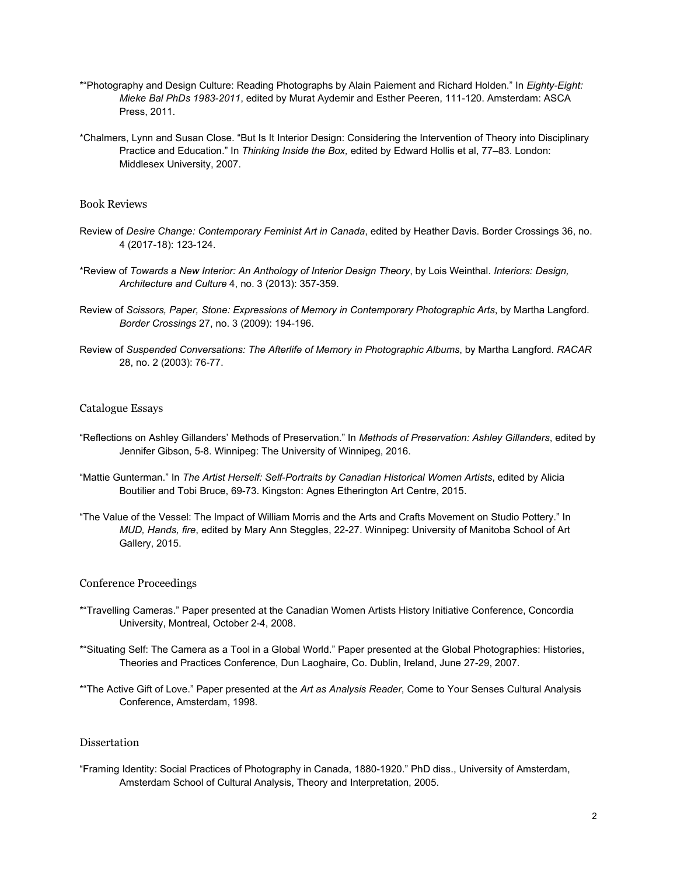- \*"Photography and Design Culture: Reading Photographs by Alain Paiement and Richard Holden." In *Eighty-Eight: Mieke Bal PhDs 1983-2011*, edited by Murat Aydemir and Esther Peeren, 111-120. Amsterdam: ASCA Press, 2011.
- \*Chalmers, Lynn and Susan Close. "But Is It Interior Design: Considering the Intervention of Theory into Disciplinary Practice and Education." In *Thinking Inside the Box,* edited by Edward Hollis et al, 77–83. London: Middlesex University, 2007.

#### Book Reviews

- Review of *Desire Change: Contemporary Feminist Art in Canada*, edited by Heather Davis. Border Crossings 36, no. 4 (2017-18): 123-124.
- \*Review of *Towards a New Interior: An Anthology of Interior Design Theory*, by Lois Weinthal. *Interiors: Design, Architecture and Culture* 4, no. 3 (2013): 357-359.
- Review of *Scissors, Paper, Stone: Expressions of Memory in Contemporary Photographic Arts*, by Martha Langford. *Border Crossings* 27, no. 3 (2009): 194-196.
- Review of *Suspended Conversations: The Afterlife of Memory in Photographic Albums*, by Martha Langford. *RACAR* 28, no. 2 (2003): 76-77.

#### Catalogue Essays

- "Reflections on Ashley Gillanders' Methods of Preservation." In *Methods of Preservation: Ashley Gillanders*, edited by Jennifer Gibson, 5-8. Winnipeg: The University of Winnipeg, 2016.
- "Mattie Gunterman." In *The Artist Herself: Self-Portraits by Canadian Historical Women Artists*, edited by Alicia Boutilier and Tobi Bruce, 69-73. Kingston: Agnes Etherington Art Centre, 2015.
- "The Value of the Vessel: The Impact of William Morris and the Arts and Crafts Movement on Studio Pottery." In *MUD, Hands, fire*, edited by Mary Ann Steggles, 22-27. Winnipeg: University of Manitoba School of Art Gallery, 2015.

#### Conference Proceedings

- \*"Travelling Cameras." Paper presented at the Canadian Women Artists History Initiative Conference, Concordia University, Montreal, October 2-4, 2008.
- \*"Situating Self: The Camera as a Tool in a Global World." Paper presented at the Global Photographies: Histories, Theories and Practices Conference, Dun Laoghaire, Co. Dublin, Ireland, June 27-29, 2007.
- \*"The Active Gift of Love." Paper presented at the *Art as Analysis Reader*, Come to Your Senses Cultural Analysis Conference, Amsterdam, 1998.

#### **Dissertation**

"Framing Identity: Social Practices of Photography in Canada, 1880-1920." PhD diss., University of Amsterdam, Amsterdam School of Cultural Analysis, Theory and Interpretation, 2005.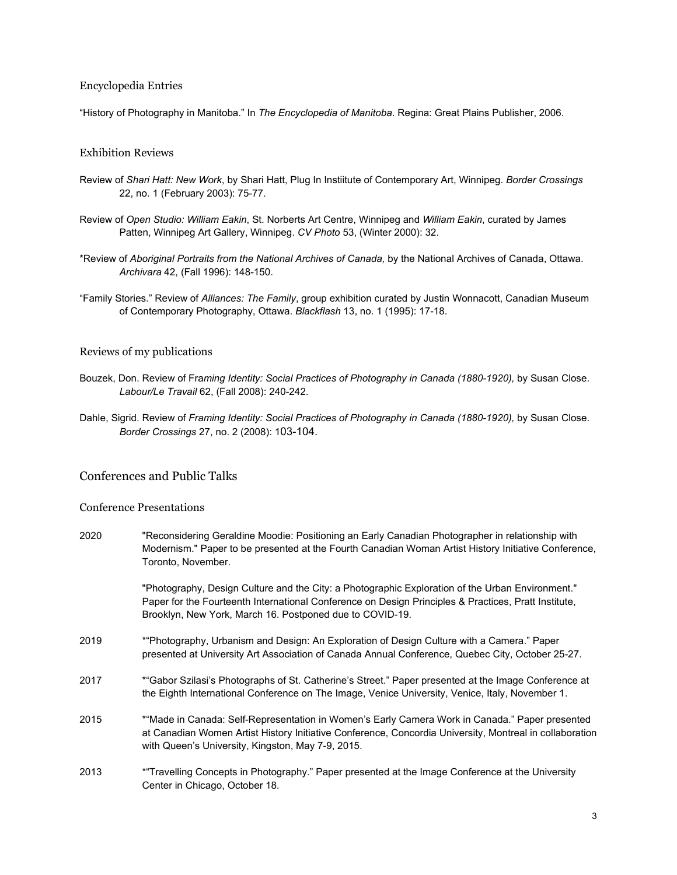#### Encyclopedia Entries

"History of Photography in Manitoba." In *The Encyclopedia of Manitoba*. Regina: Great Plains Publisher, 2006.

#### Exhibition Reviews

- Review of *Shari Hatt: New Work*, by Shari Hatt, Plug In Instiitute of Contemporary Art, Winnipeg. *Border Crossings* 22, no. 1 (February 2003): 75-77.
- Review of *Open Studio: William Eakin*, St. Norberts Art Centre, Winnipeg and *William Eakin*, curated by James Patten, Winnipeg Art Gallery, Winnipeg. *CV Photo* 53, (Winter 2000): 32.
- \*Review of *Aboriginal Portraits from the National Archives of Canada,* by the National Archives of Canada, Ottawa. *Archivara* 42, (Fall 1996): 148-150.
- "Family Stories." Review of *Alliances: The Family*, group exhibition curated by Justin Wonnacott, Canadian Museum of Contemporary Photography, Ottawa. *Blackflash* 13, no. 1 (1995): 17-18.

#### Reviews of my publications

- Bouzek, Don. Review of Framing Identity: Social Practices of Photography in Canada (1880-1920), by Susan Close. *Labour/Le Travail* 62, (Fall 2008): 240-242.
- Dahle, Sigrid. Review of *Framing Identity: Social Practices of Photography in Canada (1880-1920), by Susan Close. Border Crossings* 27, no. 2 (2008): 103-104.

#### Conferences and Public Talks

#### Conference Presentations

2020 "Reconsidering Geraldine Moodie: Positioning an Early Canadian Photographer in relationship with Modernism." Paper to be presented at the Fourth Canadian Woman Artist History Initiative Conference, Toronto, November. "Photography, Design Culture and the City: a Photographic Exploration of the Urban Environment." Paper for the Fourteenth International Conference on Design Principles & Practices, Pratt Institute, Brooklyn, New York, March 16. Postponed due to COVID-19. 2019 \*"Photography, Urbanism and Design: An Exploration of Design Culture with a Camera." Paper presented at University Art Association of Canada Annual Conference, Quebec City, October 25-27. 2017 \*"Gabor Szilasi's Photographs of St. Catherine's Street." Paper presented at the Image Conference at the Eighth International Conference on The Image, Venice University, Venice, Italy, November 1. 2015 \*"Made in Canada: Self-Representation in Women's Early Camera Work in Canada." Paper presented at Canadian Women Artist History Initiative Conference, Concordia University, Montreal in collaboration with Queen's University, Kingston, May 7-9, 2015. 2013 \*"Travelling Concepts in Photography." Paper presented at the Image Conference at the University Center in Chicago, October 18.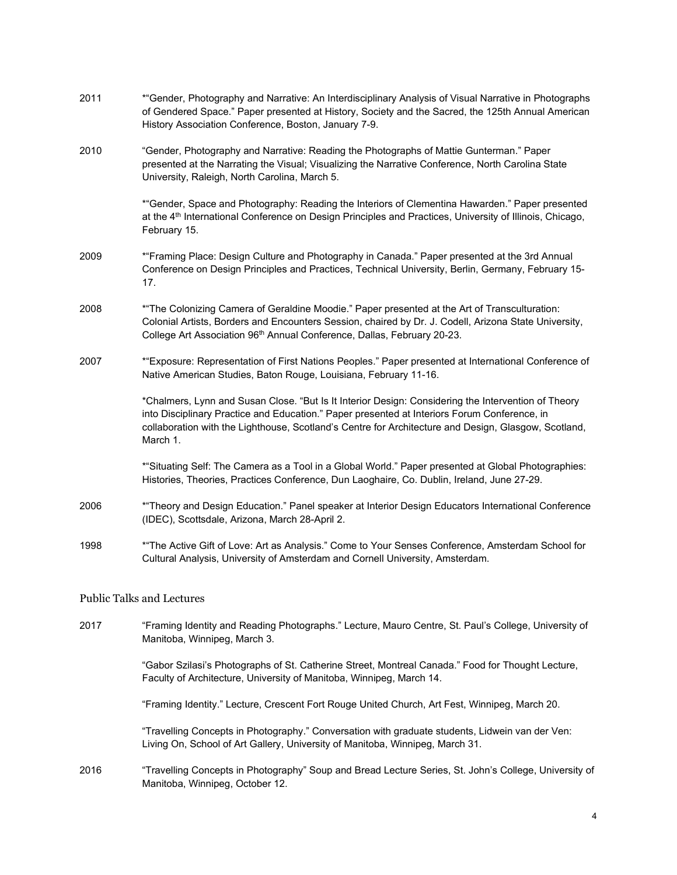| 2011 | *"Gender, Photography and Narrative: An Interdisciplinary Analysis of Visual Narrative in Photographs<br>of Gendered Space." Paper presented at History, Society and the Sacred, the 125th Annual American<br>History Association Conference, Boston, January 7-9.                                                      |  |  |
|------|-------------------------------------------------------------------------------------------------------------------------------------------------------------------------------------------------------------------------------------------------------------------------------------------------------------------------|--|--|
| 2010 | "Gender, Photography and Narrative: Reading the Photographs of Mattie Gunterman." Paper<br>presented at the Narrating the Visual; Visualizing the Narrative Conference, North Carolina State<br>University, Raleigh, North Carolina, March 5.                                                                           |  |  |
|      | *"Gender, Space and Photography: Reading the Interiors of Clementina Hawarden." Paper presented<br>at the 4 <sup>th</sup> International Conference on Design Principles and Practices, University of Illinois, Chicago,<br>February 15.                                                                                 |  |  |
| 2009 | *"Framing Place: Design Culture and Photography in Canada." Paper presented at the 3rd Annual<br>Conference on Design Principles and Practices, Technical University, Berlin, Germany, February 15-<br>17.                                                                                                              |  |  |
| 2008 | * "The Colonizing Camera of Geraldine Moodie." Paper presented at the Art of Transculturation:<br>Colonial Artists, Borders and Encounters Session, chaired by Dr. J. Codell, Arizona State University,<br>College Art Association 96 <sup>th</sup> Annual Conference, Dallas, February 20-23.                          |  |  |
| 2007 | *"Exposure: Representation of First Nations Peoples." Paper presented at International Conference of<br>Native American Studies, Baton Rouge, Louisiana, February 11-16.                                                                                                                                                |  |  |
|      | *Chalmers, Lynn and Susan Close. "But Is It Interior Design: Considering the Intervention of Theory<br>into Disciplinary Practice and Education." Paper presented at Interiors Forum Conference, in<br>collaboration with the Lighthouse, Scotland's Centre for Architecture and Design, Glasgow, Scotland,<br>March 1. |  |  |
|      | *"Situating Self: The Camera as a Tool in a Global World." Paper presented at Global Photographies:<br>Histories, Theories, Practices Conference, Dun Laoghaire, Co. Dublin, Ireland, June 27-29.                                                                                                                       |  |  |
| 2006 | * Theory and Design Education." Panel speaker at Interior Design Educators International Conference<br>(IDEC), Scottsdale, Arizona, March 28-April 2.                                                                                                                                                                   |  |  |
| 1998 | *"The Active Gift of Love: Art as Analysis." Come to Your Senses Conference, Amsterdam School for<br>Cultural Analysis, University of Amsterdam and Cornell University, Amsterdam.                                                                                                                                      |  |  |
|      | <b>Public Talks and Lectures</b>                                                                                                                                                                                                                                                                                        |  |  |
| 2017 | "Framing Identity and Reading Photographs." Lecture, Mauro Centre, St. Paul's College, University of<br>Manitoba, Winnipeg, March 3.                                                                                                                                                                                    |  |  |
|      | "Gabor Szilasi's Photographs of St. Catherine Street, Montreal Canada." Food for Thought Lecture,<br>Faculty of Architecture, University of Manitoba, Winnipeg, March 14.                                                                                                                                               |  |  |
|      | "Framing Identity." Lecture, Crescent Fort Rouge United Church, Art Fest, Winnipeg, March 20.                                                                                                                                                                                                                           |  |  |
|      | "Travelling Concepts in Photography." Conversation with graduate students, Lidwein van der Ven:<br>Living On, School of Art Gallery, University of Manitoba, Winnipeg, March 31.                                                                                                                                        |  |  |

2016 "Travelling Concepts in Photography" Soup and Bread Lecture Series, St. John's College, University of Manitoba, Winnipeg, October 12.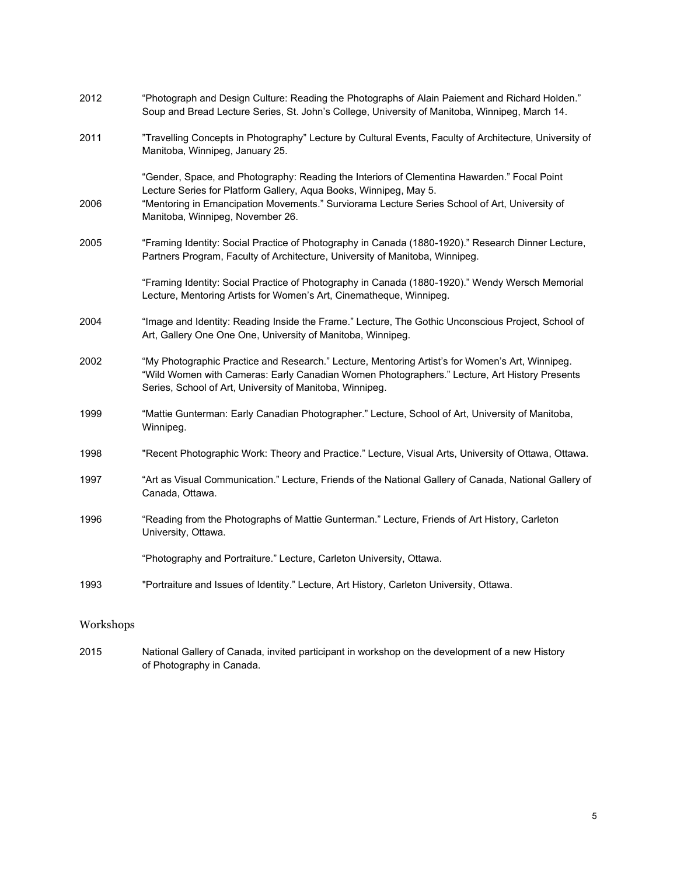| 2012 | "Photograph and Design Culture: Reading the Photographs of Alain Paiement and Richard Holden."<br>Soup and Bread Lecture Series, St. John's College, University of Manitoba, Winnipeg, March 14.                                                                  |
|------|-------------------------------------------------------------------------------------------------------------------------------------------------------------------------------------------------------------------------------------------------------------------|
| 2011 | "Travelling Concepts in Photography" Lecture by Cultural Events, Faculty of Architecture, University of<br>Manitoba, Winnipeg, January 25.                                                                                                                        |
| 2006 | "Gender, Space, and Photography: Reading the Interiors of Clementina Hawarden." Focal Point<br>Lecture Series for Platform Gallery, Aqua Books, Winnipeg, May 5.<br>"Mentoring in Emancipation Movements." Surviorama Lecture Series School of Art, University of |
|      | Manitoba, Winnipeg, November 26.                                                                                                                                                                                                                                  |
| 2005 | "Framing Identity: Social Practice of Photography in Canada (1880-1920)." Research Dinner Lecture,<br>Partners Program, Faculty of Architecture, University of Manitoba, Winnipeg.                                                                                |
|      | "Framing Identity: Social Practice of Photography in Canada (1880-1920)." Wendy Wersch Memorial<br>Lecture, Mentoring Artists for Women's Art, Cinematheque, Winnipeg.                                                                                            |
| 2004 | "Image and Identity: Reading Inside the Frame." Lecture, The Gothic Unconscious Project, School of<br>Art, Gallery One One One, University of Manitoba, Winnipeg.                                                                                                 |
| 2002 | "My Photographic Practice and Research." Lecture, Mentoring Artist's for Women's Art, Winnipeg.<br>"Wild Women with Cameras: Early Canadian Women Photographers." Lecture, Art History Presents<br>Series, School of Art, University of Manitoba, Winnipeg.       |
| 1999 | "Mattie Gunterman: Early Canadian Photographer." Lecture, School of Art, University of Manitoba,<br>Winnipeg.                                                                                                                                                     |
| 1998 | "Recent Photographic Work: Theory and Practice." Lecture, Visual Arts, University of Ottawa, Ottawa.                                                                                                                                                              |
| 1997 | "Art as Visual Communication." Lecture, Friends of the National Gallery of Canada, National Gallery of<br>Canada, Ottawa.                                                                                                                                         |
| 1996 | "Reading from the Photographs of Mattie Gunterman." Lecture, Friends of Art History, Carleton<br>University, Ottawa.                                                                                                                                              |
|      | "Photography and Portraiture." Lecture, Carleton University, Ottawa.                                                                                                                                                                                              |
| 1993 | "Portraiture and Issues of Identity." Lecture, Art History, Carleton University, Ottawa.                                                                                                                                                                          |

## Workshops

2015 National Gallery of Canada, invited participant in workshop on the development of a new History of Photography in Canada.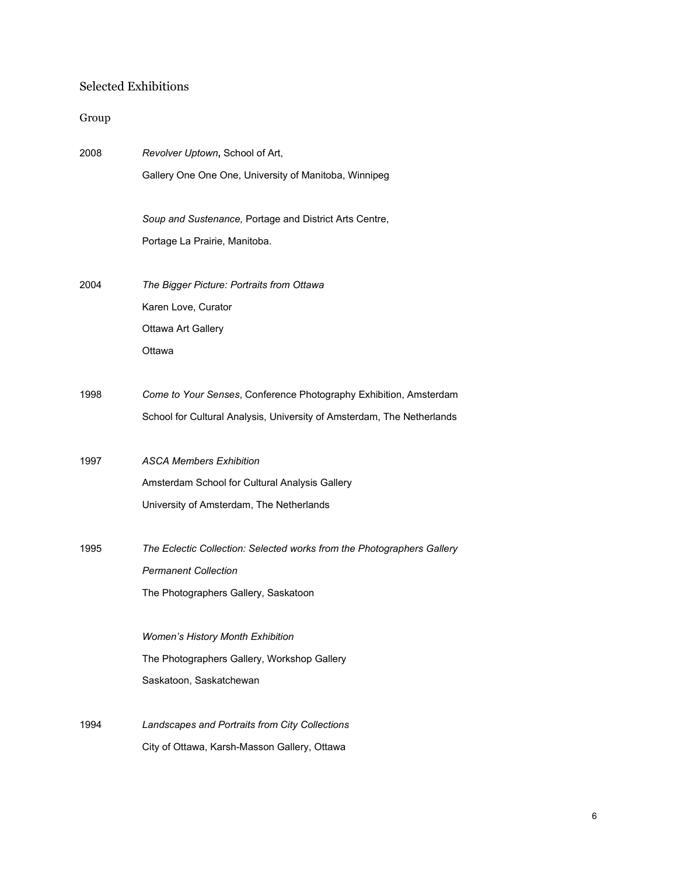# Selected Exhibitions

# Group

| 2008 | Revolver Uptown, School of Art,                                        |
|------|------------------------------------------------------------------------|
|      | Gallery One One One, University of Manitoba, Winnipeg                  |
|      |                                                                        |
|      | Soup and Sustenance, Portage and District Arts Centre,                 |
|      | Portage La Prairie, Manitoba.                                          |
|      |                                                                        |
| 2004 | The Bigger Picture: Portraits from Ottawa                              |
|      | Karen Love, Curator                                                    |
|      | Ottawa Art Gallery                                                     |
|      | Ottawa                                                                 |
|      |                                                                        |
| 1998 | Come to Your Senses, Conference Photography Exhibition, Amsterdam      |
|      | School for Cultural Analysis, University of Amsterdam, The Netherlands |
|      |                                                                        |
| 1997 | <b>ASCA Members Exhibition</b>                                         |
|      | Amsterdam School for Cultural Analysis Gallery                         |
|      | University of Amsterdam, The Netherlands                               |
|      |                                                                        |
| 1995 | The Eclectic Collection: Selected works from the Photographers Gallery |
|      | <b>Permanent Collection</b>                                            |
|      | The Photographers Gallery, Saskatoon                                   |
|      |                                                                        |
|      | Women's History Month Exhibition                                       |
|      | The Photographers Gallery, Workshop Gallery                            |
|      | Saskatoon, Saskatchewan                                                |
|      |                                                                        |
| 1994 | Landscapes and Portraits from City Collections                         |
|      | City of Ottawa, Karsh-Masson Gallery, Ottawa                           |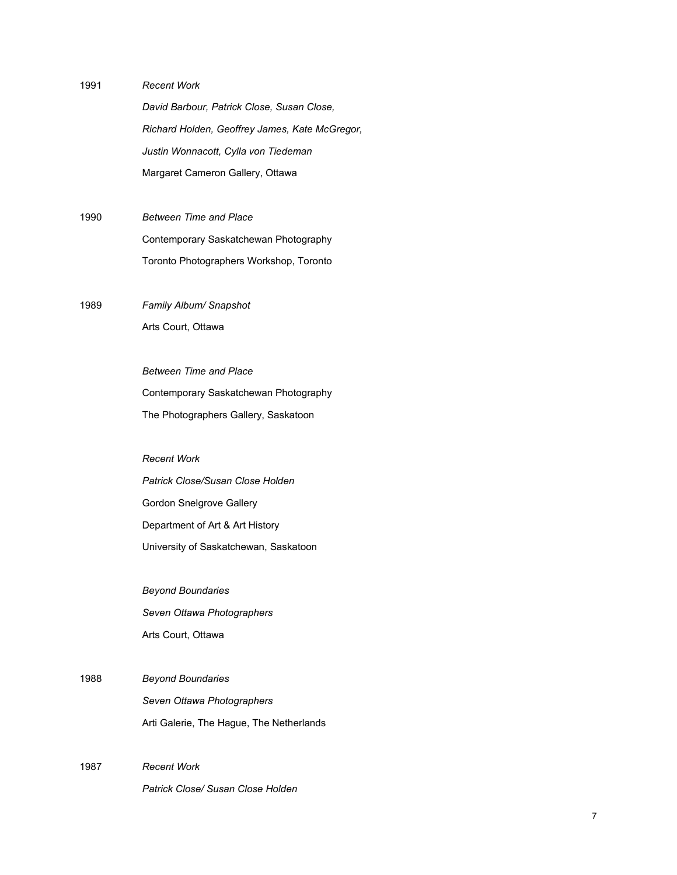1991 *Recent Work*

*David Barbour, Patrick Close, Susan Close, Richard Holden, Geoffrey James, Kate McGregor, Justin Wonnacott, Cylla von Tiedeman* Margaret Cameron Gallery, Ottawa

1990 *Between Time and Place* Contemporary Saskatchewan Photography Toronto Photographers Workshop, Toronto

1989 *Family Album/ Snapshot* Arts Court, Ottawa

*Recent Work*

*Between Time and Place* Contemporary Saskatchewan Photography The Photographers Gallery, Saskatoon

*Patrick Close/Susan Close Holden* Gordon Snelgrove Gallery Department of Art & Art History University of Saskatchewan, Saskatoon

*Beyond Boundaries Seven Ottawa Photographers* Arts Court, Ottawa

- 1988 *Beyond Boundaries Seven Ottawa Photographers* Arti Galerie, The Hague, The Netherlands
- 1987 *Recent Work Patrick Close/ Susan Close Holden*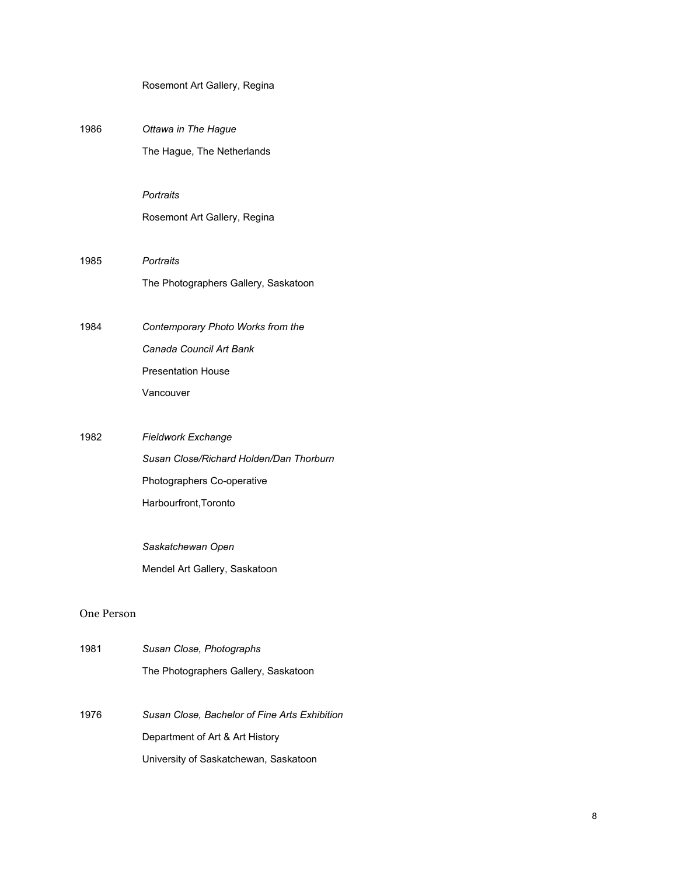| Rosemont Art Gallery, Regina |  |
|------------------------------|--|
|------------------------------|--|

| 1986       | Ottawa in The Hague                           |
|------------|-----------------------------------------------|
|            | The Hague, The Netherlands                    |
|            |                                               |
|            | Portraits                                     |
|            | Rosemont Art Gallery, Regina                  |
|            |                                               |
| 1985       | Portraits                                     |
|            | The Photographers Gallery, Saskatoon          |
|            |                                               |
| 1984       | Contemporary Photo Works from the             |
|            | Canada Council Art Bank                       |
|            | <b>Presentation House</b>                     |
|            | Vancouver                                     |
|            |                                               |
| 1982       | <b>Fieldwork Exchange</b>                     |
|            | Susan Close/Richard Holden/Dan Thorburn       |
|            | Photographers Co-operative                    |
|            | Harbourfront, Toronto                         |
|            |                                               |
|            | Saskatchewan Open                             |
|            | Mendel Art Gallery, Saskatoon                 |
|            |                                               |
| One Person |                                               |
| 1981       | Susan Close, Photographs                      |
|            | The Photographers Gallery, Saskatoon          |
|            |                                               |
| 1976       | Susan Close, Bachelor of Fine Arts Exhibition |

Department of Art & Art History

University of Saskatchewan, Saskatoon